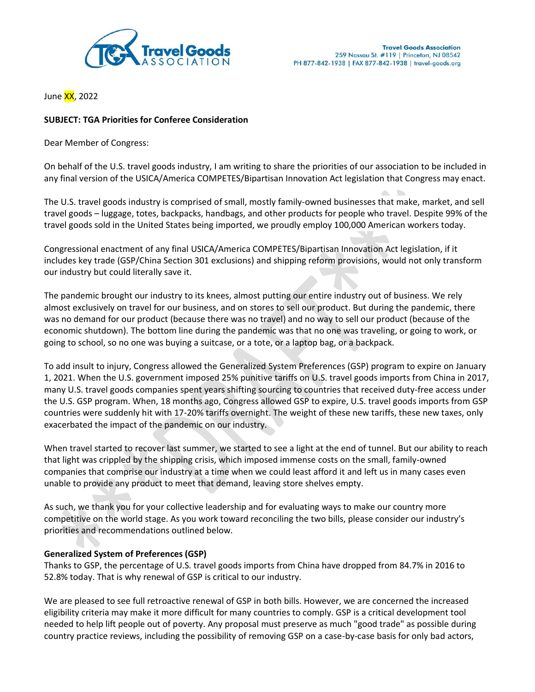

June XX, 2022

## **SUBJECT: TGA Priorities for Conferee Consideration**

Dear Member of Congress:

On behalf of the U.S. travel goods industry, I am writing to share the priorities of our association to be included in any final version of the USICA/America COMPETES/Bipartisan Innovation Act legislation that Congress may enact.

The U.S. travel goods industry is comprised of small, mostly family-owned businesses that make, market, and sell travel goods – luggage, totes, backpacks, handbags, and other products for people who travel. Despite 99% of the travel goods sold in the United States being imported, we proudly employ 100,000 American workers today.

Congressional enactment of any final USICA/America COMPETES/Bipartisan Innovation Act legislation, if it includes key trade (GSP/China Section 301 exclusions) and shipping reform provisions, would not only transform our industry but could literally save it.

The pandemic brought our industry to its knees, almost putting our entire industry out of business. We rely almost exclusively on travel for our business, and on stores to sell our product. But during the pandemic, there was no demand for our product (because there was no travel) and no way to sell our product (because of the economic shutdown). The bottom line during the pandemic was that no one was traveling, or going to work, or going to school, so no one was buying a suitcase, or a tote, or a laptop bag, or a backpack.

To add insult to injury, Congress allowed the Generalized System Preferences (GSP) program to expire on January 1, 2021. When the U.S. government imposed 25% punitive tariffs on U.S. travel goods imports from China in 2017, many U.S. travel goods companies spent years shifting sourcing to countries that received duty-free access under the U.S. GSP program. When, 18 months ago, Congress allowed GSP to expire, U.S. travel goods imports from GSP countries were suddenly hit with 17-20% tariffs overnight. The weight of these new tariffs, these new taxes, only exacerbated the impact of the pandemic on our industry.

When travel started to recover last summer, we started to see a light at the end of tunnel. But our ability to reach that light was crippled by the shipping crisis, which imposed immense costs on the small, family-owned companies that comprise our industry at a time when we could least afford it and left us in many cases even unable to provide any product to meet that demand, leaving store shelves empty.

As such, we thank you for your collective leadership and for evaluating ways to make our country more competitive on the world stage. As you work toward reconciling the two bills, please consider our industry's priorities and recommendations outlined below.

## **Generalized System of Preferences (GSP)**

Thanks to GSP, the percentage of U.S. travel goods imports from China have dropped from 84.7% in 2016 to 52.8% today. That is why renewal of GSP is critical to our industry.

We are pleased to see full retroactive renewal of GSP in both bills. However, we are concerned the increased eligibility criteria may make it more difficult for many countries to comply. GSP is a critical development tool needed to help lift people out of poverty. Any proposal must preserve as much "good trade" as possible during country practice reviews, including the possibility of removing GSP on a case-by-case basis for only bad actors,